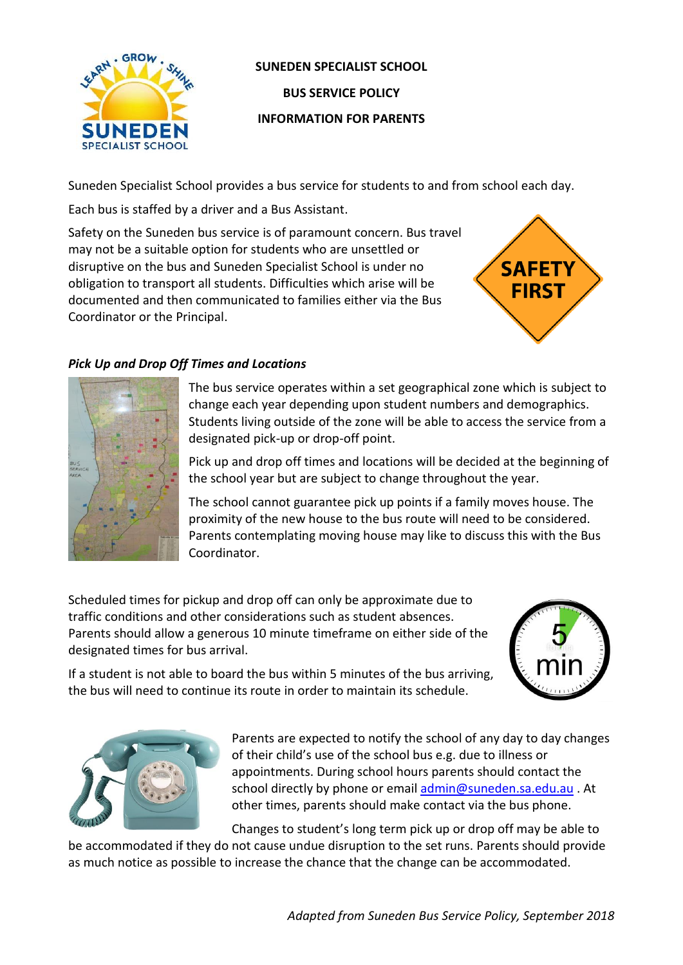

# **SUNEDEN SPECIALIST SCHOOL BUS SERVICE POLICY INFORMATION FOR PARENTS**

Suneden Specialist School provides a bus service for students to and from school each day.

Each bus is staffed by a driver and a Bus Assistant.

Safety on the Suneden bus service is of paramount concern. Bus travel may not be a suitable option for students who are unsettled or disruptive on the bus and Suneden Specialist School is under no obligation to transport all students. Difficulties which arise will be documented and then communicated to families either via the Bus Coordinator or the Principal.



# *Pick Up and Drop Off Times and Locations*



The bus service operates within a set geographical zone which is subject to change each year depending upon student numbers and demographics. Students living outside of the zone will be able to access the service from a designated pick-up or drop-off point.

Pick up and drop off times and locations will be decided at the beginning of the school year but are subject to change throughout the year.

The school cannot guarantee pick up points if a family moves house. The proximity of the new house to the bus route will need to be considered. Parents contemplating moving house may like to discuss this with the Bus Coordinator.

Scheduled times for pickup and drop off can only be approximate due to traffic conditions and other considerations such as student absences. Parents should allow a generous 10 minute timeframe on either side of the designated times for bus arrival.



If a student is not able to board the bus within 5 minutes of the bus arriving, the bus will need to continue its route in order to maintain its schedule.



Parents are expected to notify the school of any day to day changes of their child's use of the school bus e.g. due to illness or appointments. During school hours parents should contact the school directly by phone or emai[l admin@suneden.sa.edu.au](mailto:admin@suneden.sa.edu.au) . At other times, parents should make contact via the bus phone.

Changes to student's long term pick up or drop off may be able to

be accommodated if they do not cause undue disruption to the set runs. Parents should provide as much notice as possible to increase the chance that the change can be accommodated.